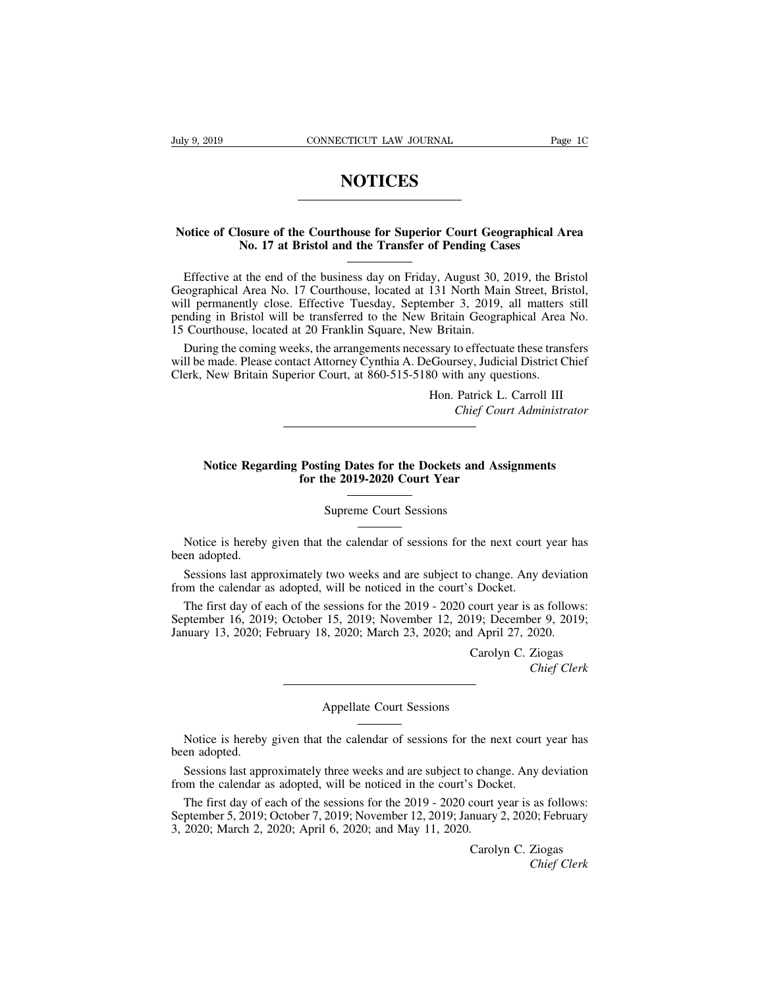## **NOTICES**

# **NOTICES**<br>
Notice of Closure of the Courthouse for Superior Court Geographical Area<br>
No. 17 at Bristol and the Transfer of Pending Cases **NOTICES**<br> **No. 17 at Bristol and the Transfer of Pending Cases**<br> **No. 17 at Bristol and the Transfer of Pending Cases**<br> **Let be and of the business day on Friday, August 30, 2019, the Britan**

THE COLORE OF SUPERIOTED TO THE CONTROLLED TO THE STATE OF SUPERIOR NO. 17 at Bristol and the Transfer of Pending Cases<br>Effective at the end of the business day on Friday, August 30, 2019, the Bristol cographical Area No. Notice of Closure of the Courthouse for Superior Court Geographical Area<br>No. 17 at Bristol and the Transfer of Pending Cases<br>Effective at the end of the business day on Friday, August 30, 2019, the Bristol<br>Geographical Are Notice of Closure of the Courthouse for Superior Court Geographical Area<br>No. 17 at Bristol and the Transfer of Pending Cases<br>Effective at the end of the business day on Friday, August 30, 2019, the Bristol<br>Geographical Are Notice of Closure of the Courthouse for Superior Court Geographical Area<br>No. 17 at Bristol and the Transfer of Pending Cases<br>Effective at the end of the business day on Friday, August 30, 2019, the Bristol<br>Geographical Are No. 17 at Bristol and the Transfer of Pending Cases<br>
Internative at the end of the business day on Friday, August 30, 2019, the Bristol<br>
Geographical Area No. 17 Courthouse, located at 131 North Main Street, Bristol,<br>
will Effective at the end of the business day on Friday, August 30, 2019, the Bristol cographical Area No. 17 Courthouse, located at 131 North Main Street, Bristol, Ill permanently close. Effective Tuesday, September 3, 2019, a Effective at the end of the business day on Friday, August 30, 2019, the Bristol Geographical Area No. 17 Courthouse, located at 131 North Main Street, Bristol, will permanently close. Effective Tuesday, September 3, 2019, Geographical Area No. 17 Courthouse, located at 131 North Main Street, Britail permanently close. Effective Tuesday, September 3, 2019, all matters pending in Bristol will be transferred to the New Britain Geographical Are

mocr 3, 2019, an matters sun<br>Britain Geographical Area No.<br>v Britain.<br>sary to effectuate these transfers<br>eGoursey, Judicial District Chief<br>60 with any questions.<br>Hon. Patrick L. Carroll III<br>*Chief Court Administrator Chief Court Administrator*<br> *Chief Court Administrator*<br> *Chief Court Administrator*<br> **Chief Court Administrator** 

## New Britain Superior Court, at 800-515-5180 with any questions.<br>
Hon. Patrick L. Carroll III<br>
Chief Court Administrator<br> **Notice Regarding Posting Dates for the Dockets and Assignments**<br>
for the 2019-2020 Court Year Hon. Patrick L.<br>
Chief Court<br> **Fosting Dates for the Dockets and Assister the 2019-2020 Court Year**<br>
Supreme Court Sessions ing Dates for the Dockets and A<br>
the 2019-2020 Court Year<br>
Supreme Court Sessions<br>
the calendar of sessions for the

Notice Regarding Posting Dates for the Dockets and Assignments<br>for the 2019-2020 Court Year<br>Supreme Court Sessions<br>Notice is hereby given that the calendar of sessions for the next court year has<br>en adopted.<br>Sessions last Notice **Rega**<br>Notice is hereby<br>been adopted.<br>Sessions last app<br>from the calendar a Supreme Court Sessions<br>
Notice is hereby given that the calendar of sessions for the next court year has<br>
en adopted.<br>
Sessions last approximately two weeks and are subject to change. Any deviation<br>
on the calendar as adop Supreme Court Sessions<br>
Motice is hereby given that the calendar of sessions for the next court<br>
been adopted.<br>
Sessions last approximately two weeks and are subject to change. Any of<br>
from the calendar as adopted, will be

Notice is hereby given that the calendar of sessions for the next court year has<br>en adopted.<br>Sessions last approximately two weeks and are subject to change. Any deviation<br>om the calendar as adopted, will be noticed in the Notice is hereby given that the calendar of sessions for the next court year has<br>been adopted.<br>Sessions last approximately two weeks and are subject to change. Any deviation<br>from the calendar as adopted, will be noticed in Notice is hereby given that the catendar of sessions for the next court year had<br>been adopted.<br>Sessions last approximately two weeks and are subject to change. Any deviation<br>from the calendar as adopted, will be noticed in o change. Any deviation<br>
S Docket.<br>
court year is as follows:<br>
19; December 9, 2019;<br>
1 April 27, 2020.<br>
Carolyn C. Ziogas<br>
Chief Clerk *Chief Clerk*<br> *Chief Clerk*<br> *Chief Clerk*<br> *Chief Clerk* September 16, 2019; October 15, 2019; November 12, 2019; December 9, 2019; January 13, 2020; February 18, 2020; March 23, 2020; and April 27, 2020.<br>Carolyn C. Ziogas<br>Chief Clerk<br>Appellate Court Sessions

Carolyn C. Ziogas<br>
Chief Clerk<br>
Appellate Court Sessions<br>
Notice is hereby given that the calendar of sessions for the next court year has<br>
en adopted.<br>
Sessions last approximately three weeks and are subject to change. An Notice is hereby<br>been adopted.<br>Sessions last approximate real to the calendar at Appellate Court Sessions<br>
Notice is hereby given that the calendar of sessions for the next court year has<br>
en adopted.<br>
Sessions last approximately three weeks and are subject to change. Any deviation<br>
on the calendar as Notice is hereby given that the calendar of sessions for the next court year has<br>been adopted.<br>Sessions last approximately three weeks and are subject to change. Any deviation<br>from the calendar as adopted, will be noticed

Notice is hereby given that the calendar of sessions for the next court year has<br>en adopted.<br>Sessions last approximately three weeks and are subject to change. Any deviation<br>om the calendar as adopted, will be noticed in t Notice is hereby given that the calendar of sessions for the next court year has<br>been adopted.<br>Sessions last approximately three weeks and are subject to change. Any deviation<br>from the calendar as adopted, will be noticed September 5, 2019; October 7, 2019; November 12, 2019; January 2, 2020; February 3, 2020; March 2, 2020; April 6, 2020; and May 11, 2020.<br>Carolyn C. Ziogas o change. Any deviation<br>S Docket.<br>Court year is as follows:<br>nuary 2, 2020; February<br>Carolyn C. Ziogas<br>*Chief Clerk* The first day of each of the sessions for the 2019 - 2020 court year is as follows:<br>
ptember 5, 2019; October 7, 2019; November 12, 2019; January 2, 2020; February<br>
2020; March 2, 2020; April 6, 2020; and May 11, 2020.<br>
Ca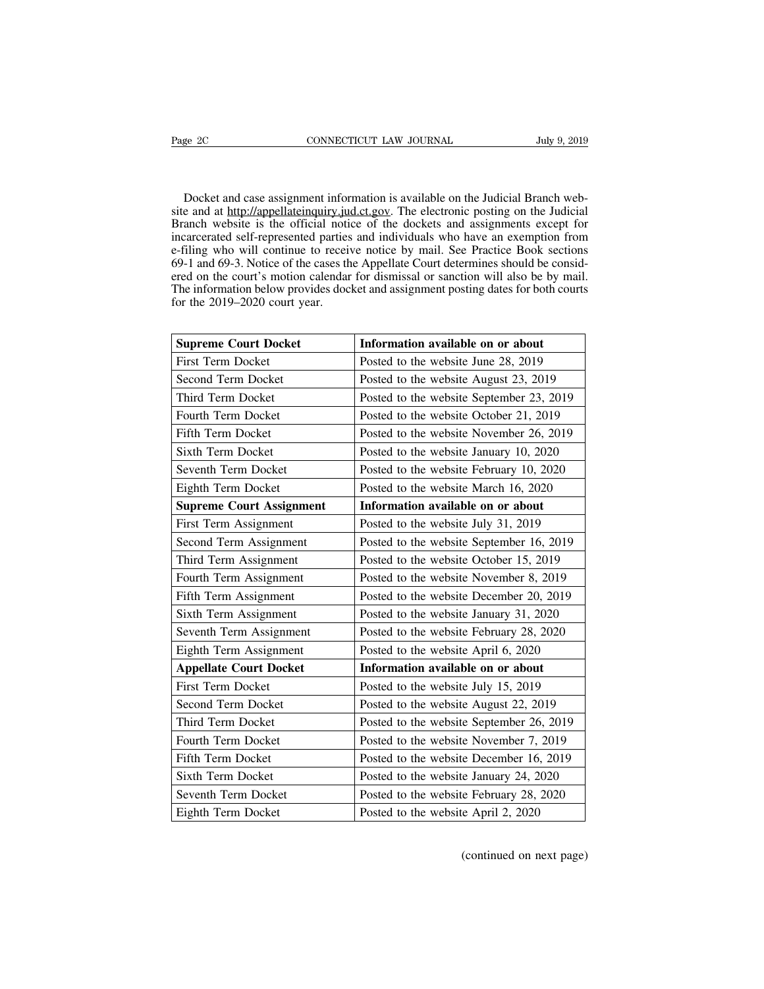Page 2C CONNECTICUT LAW JOURNAL July 9, 2019<br>Docket and case assignment information is available on the Judicial Branch web-<br>site and at http://appellateinquiry.jud.ct.gov. The electronic posting on the Judicial<br>Branch web Sim Bage 2C CONNECTICUT LAW JOURNAL July 9, 2019<br>
Docket and case assignment information is available on the Judicial Branch web-<br>
site and at http://appellateinquiry.jud.ct.gov. The electronic posting on the Judicial<br>
Bra Page 2C CONNECTICUT LAW JOURNAL July 9, 2019<br>Docket and case assignment information is available on the Judicial Branch web-<br>site and at http://appellateinquiry.jud.ct.gov. The electronic posting on the Judicial<br>Branch web Docket and case assignment information is available on the Judicial Branch web-<br>site and at http://appellateinquiry.jud.ct.gov. The electronic posting on the Judicial<br>Branch website is the official notice of the dockets an Docket and case assignment information is available on the Judicial Branch web-<br>site and at http://appellateinquiry.jud.ct.gov. The electronic posting on the Judicial<br>Branch website is the official notice of the dockets an Docket and case assignment information is available on the Judicial Branch web-<br>site and at http://appellateinquiry.jud.ct.gov. The electronic posting on the Judicial<br>Branch website is the official notice of the dockets an Docket and case assignment information is available on the Judicial Branch web-<br>site and at http://appellateinquiry.jud.ct.gov. The electronic posting on the Judicial<br>Branch website is the official notice of the dockets an Bocket and case assignment information is available on the Judicial Branch web-<br>site and at http://appellateinquiry.jud.ct.gov. The electronic posting on the Judicial<br>Branch website is the official notice of the dockets an Since and at <u>Internal performation y</u> functions and a temperature of the official noti-<br>incarcerated self-represented parties<br>e-filing who will continue to receive<br>69-1 and 69-3. Notice of the cases the<br>ered on the court' First Term Docket<br> **Supreme Court Docket**<br> **Information available on or about**<br> **Information available on or about**<br> **Information available on or about**<br> **Information available on or about**<br> **Information available on or ab** 

| <b>Supreme Court Docket</b>     | Information available on or about        |  |
|---------------------------------|------------------------------------------|--|
| First Term Docket               | Posted to the website June 28, 2019      |  |
| Second Term Docket              | Posted to the website August 23, 2019    |  |
| Third Term Docket               | Posted to the website September 23, 2019 |  |
| Fourth Term Docket              | Posted to the website October 21, 2019   |  |
| Fifth Term Docket               | Posted to the website November 26, 2019  |  |
| Sixth Term Docket               | Posted to the website January 10, 2020   |  |
| Seventh Term Docket             | Posted to the website February 10, 2020  |  |
| Eighth Term Docket              | Posted to the website March 16, 2020     |  |
| <b>Supreme Court Assignment</b> | Information available on or about        |  |
| First Term Assignment           | Posted to the website July 31, 2019      |  |
| Second Term Assignment          | Posted to the website September 16, 2019 |  |
| Third Term Assignment           | Posted to the website October 15, 2019   |  |
| Fourth Term Assignment          | Posted to the website November 8, 2019   |  |
| Fifth Term Assignment           | Posted to the website December 20, 2019  |  |
| Sixth Term Assignment           | Posted to the website January 31, 2020   |  |
| Seventh Term Assignment         | Posted to the website February 28, 2020  |  |
| Eighth Term Assignment          | Posted to the website April 6, 2020      |  |
| <b>Appellate Court Docket</b>   | Information available on or about        |  |
| First Term Docket               | Posted to the website July 15, 2019      |  |
| Second Term Docket              | Posted to the website August 22, 2019    |  |
| Third Term Docket               | Posted to the website September 26, 2019 |  |
| Fourth Term Docket              | Posted to the website November 7, 2019   |  |
| Fifth Term Docket               | Posted to the website December 16, 2019  |  |
| Sixth Term Docket               | Posted to the website January 24, 2020   |  |
| Seventh Term Docket             | Posted to the website February 28, 2020  |  |
| Eighth Term Docket              | Posted to the website April 2, 2020      |  |